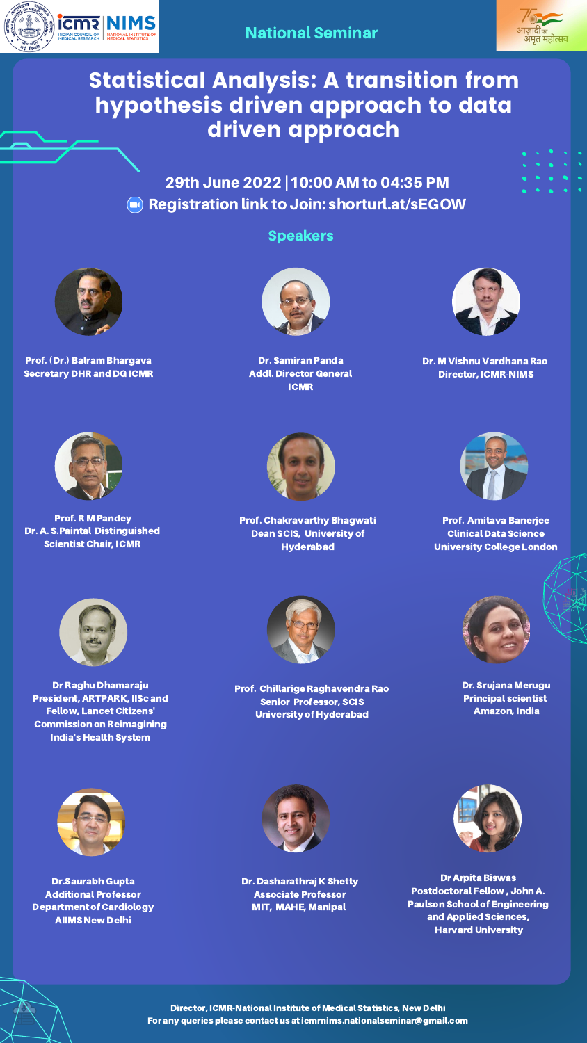



# Statistical Analysis: A transition from hypothesis driven approach to data driven approach

29th June 2022 |10:00 AM to 04:35 PM **Registration link to Join: [shorturl.at/sEGOW](https://echo.zoom.us/meeting/register/tZMocuyvrTouG9EYRBgjsJT-6vpb9O63q3vE)** 



### National Seminar





Prof. R M Pandey Dr. A. S.Paintal Distinguished Scientist Chair, ICMR

Dr. Dasharathraj K Shetty Associate Professor MIT, MAHE, Manipal





Prof. Amitava Banerjee Clinical Data Science University College London











Prof. Chakravarthy Bhagwati Dean SCIS, University of Hyderabad

Prof. (Dr.) Balram Bhargava Secretary DHR and DG ICMR



Dr. M Vishnu Vardhana Rao Director, ICMR-NIMS

### Speakers

Director, [ICMR-National](http://icmr-nims.nic.in/) Institute of Medical Statistics, New Delhi For any queries please contact us at icmrnims.nationalseminar@gmail.com

Dr. Srujana Merugu Principal scientist Amazon, India



Dr.Saurabh Gupta Additional Professor Department of Cardiology AIIMS New Delhi





Dr. Samiran Panda Addl. Director General ICMR

Dr Raghu Dhamaraju President, ARTPARK, IISc and Fellow, Lancet Citizens' Commission on Reimagining India's Health System



Dr Arpita Biswas Postdoctoral Fellow , John A. Paulson School of Engineering and Applied Sciences, Harvard University